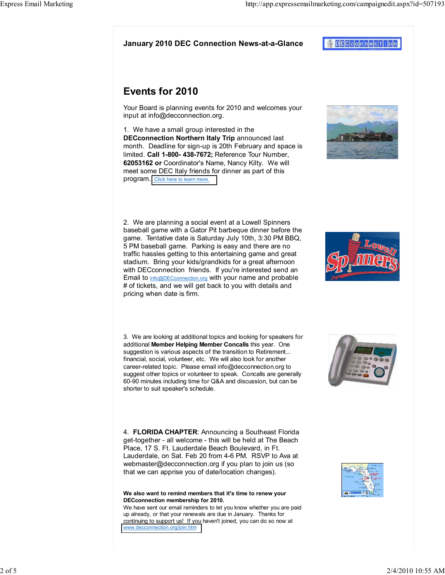<mark>4 DECCOMMeCINOM</mark>

# Events for 2010

Your Board is planning events for 2010 and welcomes your input at info@decconnection.org.

1. We have a small group interested in the DECconnection Northern Italy Trip announced last month. Deadline for sign-up is 20th February and space is limited. Call 1-800- 438-7672: Reference Tour Number. 62053162 or Coordinator's Name, Nancy Kilty. We will meet some DEC Italy friends for dinner as part of this program. [Click here to learn more.](http://www.decconnection.org/ItalyTrip.htm)



2. We are planning a social event at a Lowell Spinners baseball game with a Gator Pit barbeque dinner before the game. Tentative date is Saturday July 10th, 3:30 PM BBQ, 5 PM baseball game. Parking is easy and there are no traffic hassles getting to this entertaining game and great stadium. Bring your kids/grandkids for a great afternoon with DECconnection friends. If you're interested send an Email to info@DECconnection.org with your name and probable # of tickets, and we will get back to you with details and pricing when date is firm.

3. We are looking at additional topics and looking for speakers for additional Member Helping Member Concalls this year. One suggestion is various aspects of the transition to Retirement... financial, social, volunteer, etc. We will also look for another career-related topic. Please email info@decconnection.org to suggest other topics or volunteer to speak. Concalls are generally 60-90 minutes including time for Q&A and discussion, but can be shorter to suit speaker's schedule.

4. FLORIDA CHAPTER: Announcing a Southeast Florida get-together - all welcome - this will be held at The Beach Place, 17 S. Ft. Lauderdale Beach Boulevard, in Ft. Lauderdale, on Sat. Feb 20 from 4-6 PM. RSVP to Ava at webmaster@decconnection.org if you plan to join us (so that we can apprise you of date/location changes).

#### We also want to remind members that it's time to renew your DECconnection membership for 2010.

We have sent our email reminders to let you know whether you are paid up already, or that your renewals are due in January. Thanks for continuing to support us! If you haven't joined, you can do so now at [www.decconnection.org/join.htm](http://www.decconnection.org/join.htm)





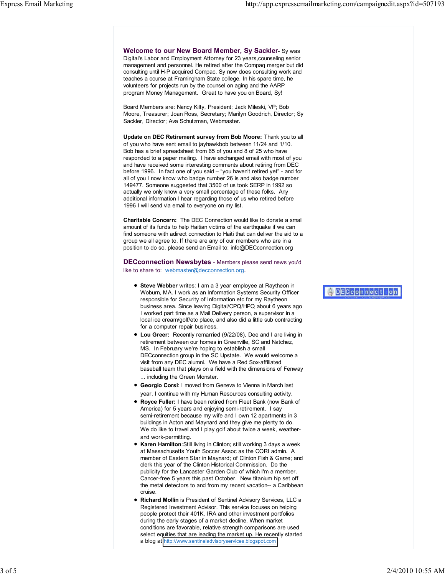Welcome to our New Board Member, Sy Sackler- Sy was Digital's Labor and Employment Attorney for 23 years,counseling senior management and personnel. He retired after the Compaq merger but did consulting until H-P acquired Compac. Sy now does consulting work and teaches a course at Framingham State college. In his spare time, he volunteers for projects run by the counsel on aging and the AARP program Money Management. Great to have you on Board, Sy!

Board Members are: Nancy Kilty, President; Jack Mileski, VP; Bob Moore, Treasurer; Joan Ross, Secretary; Marilyn Goodrich, Director; Sy Sackler, Director; Ava Schutzman, Webmaster .

Update on DEC Retirement survey from Bob Moore: Thank you to all of you who have sent email to jayhawkbob between 11/24 and 1/10. Bob has a brief spreadsheet from 65 of you and 8 of 25 who have responded to a paper mailing. I have exchanged email with most of you and have received some interesting comments about retiring from DEC before 1996. In fact one of you said – "you haven't retired yet" - and for all of you I now know who badge number 26 is and also badge number 149477. Someone suggested that 3500 of us took SERP in 1992 so actually we only know a very small percentage of these folks. Any additional information I hear regarding those of us who retired before 1996 I will send via email to everyone on my list.

Charitable Concern: The DEC Connection would like to donate a small amount of its funds to help Haitian victims of the earthquake if we can find someone with adirect connection to Haiti that can deliver the aid to a group we all agree to. If there are any of our members who are in a position to do so, please send an Email to: info@DECconnection.org

DECconnection Newsbytes - Members please send news you'd like to share to: webmaster@decconnection.org.

- **Steve Webber** writes: I am a 3 year employee at Raytheon in Woburn, MA. I work as an Information Systems Security Officer responsible for Security of Information etc for my Raytheon business area. Since leaving Digital/CPQ/HPQ about 6 years ago I worked part time as a Mail Delivery person, a supervisor in a local ice cream/golf/etc place, and also did a little sub contracting for a computer repair business.
- Lou Greer: Recently remarried (9/22/08), Dee and I are living in retirement between our homes in Greenville, SC and Natchez, MS. In February we're hoping to establish a small DECconnection group in the SC Upstate. We would welcome a visit from any DEC alumni. We have a Red Sox-affiliated baseball team that plays on a field with the dimensions of Fenway ... including the Green Monster.
- Georgio Corsi: I moved from Geneva to Vienna in March last year, I continue with my Human Resources consulting activity.
- **Royce Fuller:** I have been retired from Fleet Bank (now Bank of America) for 5 years and enjoying semi-retirement. I say semi-retirement because my wife and I own 12 apartments in 3 buildings in Acton and Maynard and they give me plenty to do. We do like to travel and I play golf about twice a week, weatherand work-permitting.
- **Karen Hamilton:** Still living in Clinton; still working 3 days a week at Massachusetts Youth Soccer Assoc as the CORI admin. A member of Eastern Star in Maynard; of Clinton Fish & Game; and clerk this year of the Clinton Historical Commission. Do the publicity for the Lancaster Garden Club of which I'm a member. Cancer-free 5 years this past October. New titanium hip set off the metal detectors to and from my recent vacation-- a Caribbean cruise.
- **Richard Mollin** is President of Sentinel Advisory Services, LLC a Registered Investment Advisor. This service focuses on helping people protect their 401K, IRA and other investment portfolios during the early stages of a market decline. When market conditions are favorable, relative strength comparisons are used select equities that are leading the market up. He recently started a blog at <http://www.sentineladvisoryservices.blogspot.com>

## ADECconnection